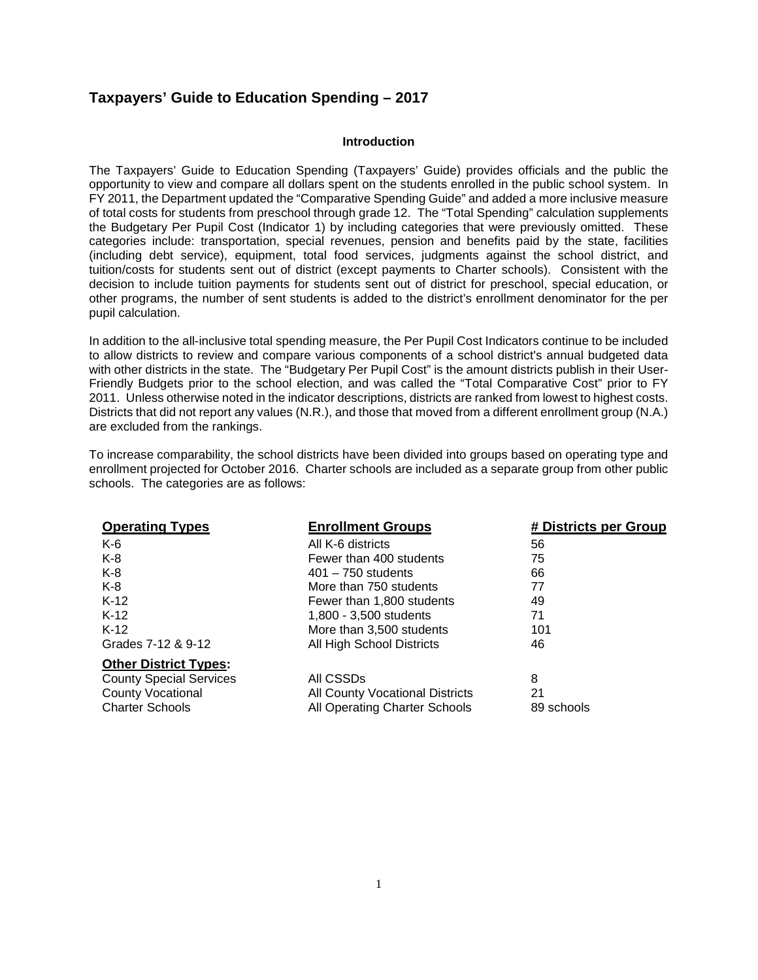# **Taxpayers' Guide to Education Spending – 2017**

#### **Introduction**

The Taxpayers' Guide to Education Spending (Taxpayers' Guide) provides officials and the public the opportunity to view and compare all dollars spent on the students enrolled in the public school system. In FY 2011, the Department updated the "Comparative Spending Guide" and added a more inclusive measure of total costs for students from preschool through grade 12. The "Total Spending" calculation supplements the Budgetary Per Pupil Cost (Indicator 1) by including categories that were previously omitted. These categories include: transportation, special revenues, pension and benefits paid by the state, facilities (including debt service), equipment, total food services, judgments against the school district, and tuition/costs for students sent out of district (except payments to Charter schools). Consistent with the decision to include tuition payments for students sent out of district for preschool, special education, or other programs, the number of sent students is added to the district's enrollment denominator for the per pupil calculation.

In addition to the all-inclusive total spending measure, the Per Pupil Cost Indicators continue to be included to allow districts to review and compare various components of a school district's annual budgeted data with other districts in the state. The "Budgetary Per Pupil Cost" is the amount districts publish in their User-Friendly Budgets prior to the school election, and was called the "Total Comparative Cost" prior to FY 2011. Unless otherwise noted in the indicator descriptions, districts are ranked from lowest to highest costs. Districts that did not report any values (N.R.), and those that moved from a different enrollment group (N.A.) are excluded from the rankings.

To increase comparability, the school districts have been divided into groups based on operating type and enrollment projected for October 2016. Charter schools are included as a separate group from other public schools. The categories are as follows:

| <b>Operating Types</b>         | <b>Enrollment Groups</b>               | # Districts per Group |
|--------------------------------|----------------------------------------|-----------------------|
| $K-6$                          | All K-6 districts                      | 56                    |
| $K-8$                          | Fewer than 400 students                | 75                    |
| $K-8$                          | $401 - 750$ students                   | 66                    |
| $K-8$                          | More than 750 students                 | 77                    |
| $K-12$                         | Fewer than 1,800 students              | 49                    |
| $K-12$                         | 1,800 - 3,500 students                 | 71                    |
| $K-12$                         | More than 3,500 students               | 101                   |
| Grades 7-12 & 9-12             | All High School Districts              | 46                    |
| <b>Other District Types:</b>   |                                        |                       |
| <b>County Special Services</b> | All CSSDs                              | 8                     |
| <b>County Vocational</b>       | <b>All County Vocational Districts</b> | 21                    |
| <b>Charter Schools</b>         | All Operating Charter Schools          | 89 schools            |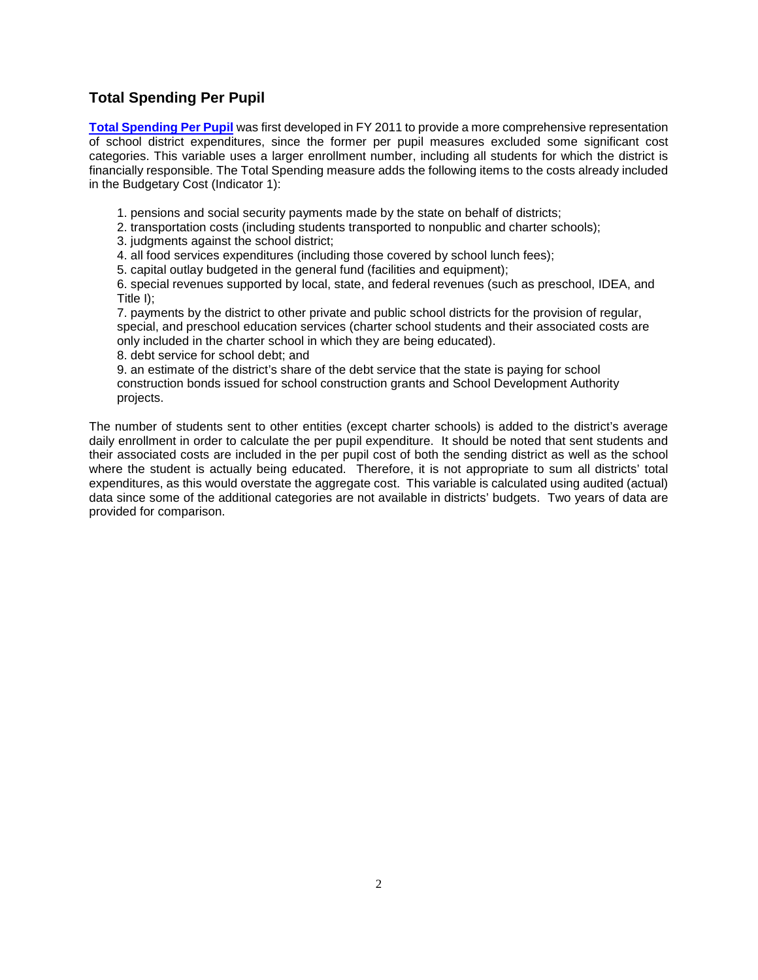# **Total Spending Per Pupil**

**[Total Spending Per Pupil](http://www.state.nj.us/cgi-bin/education/csg/17/csg1a.pl?string=%20&maxhits=1000)** was first developed in FY 2011 to provide a more comprehensive representation of school district expenditures, since the former per pupil measures excluded some significant cost categories. This variable uses a larger enrollment number, including all students for which the district is financially responsible. The Total Spending measure adds the following items to the costs already included in the Budgetary Cost (Indicator 1):

1. pensions and social security payments made by the state on behalf of districts;

2. transportation costs (including students transported to nonpublic and charter schools);

3. judgments against the school district;

4. all food services expenditures (including those covered by school lunch fees);

5. capital outlay budgeted in the general fund (facilities and equipment);

6. special revenues supported by local, state, and federal revenues (such as preschool, IDEA, and Title I);

7. payments by the district to other private and public school districts for the provision of regular, special, and preschool education services (charter school students and their associated costs are only included in the charter school in which they are being educated).

8. debt service for school debt; and

9. an estimate of the district's share of the debt service that the state is paying for school construction bonds issued for school construction grants and School Development Authority projects.

The number of students sent to other entities (except charter schools) is added to the district's average daily enrollment in order to calculate the per pupil expenditure. It should be noted that sent students and their associated costs are included in the per pupil cost of both the sending district as well as the school where the student is actually being educated. Therefore, it is not appropriate to sum all districts' total expenditures, as this would overstate the aggregate cost. This variable is calculated using audited (actual) data since some of the additional categories are not available in districts' budgets. Two years of data are provided for comparison.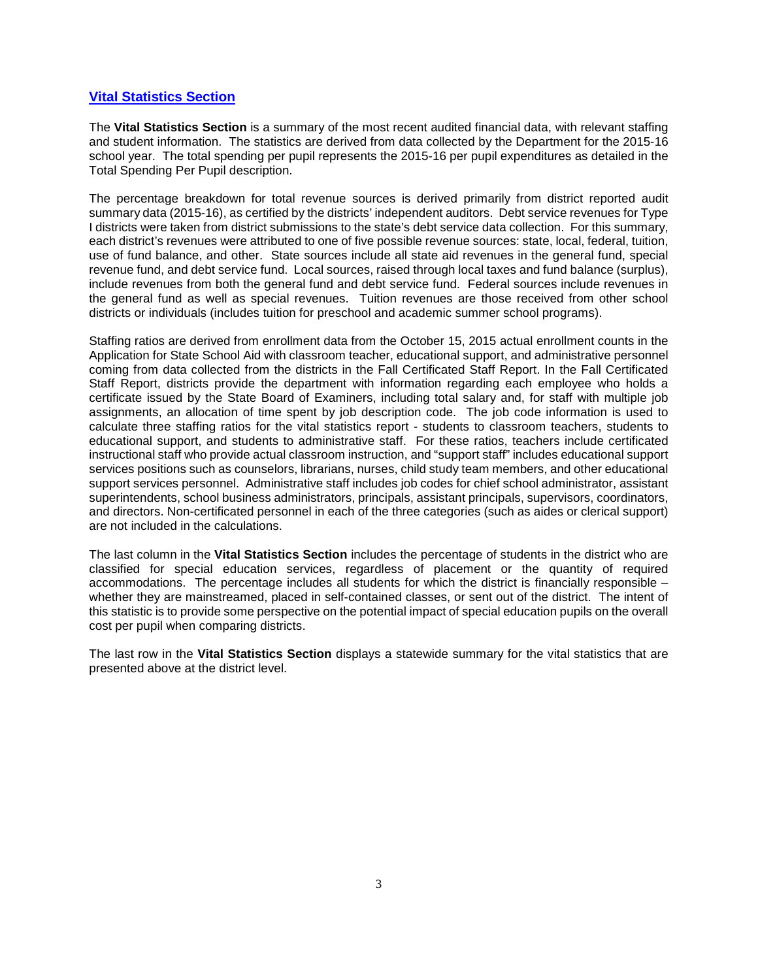# **[Vital Statistics Section](http://www.state.nj.us/cgi-bin/education/csg/17/csgvital2.pl?string=%20&maxhits=1000)**

The **Vital Statistics Section** is a summary of the most recent audited financial data, with relevant staffing and student information. The statistics are derived from data collected by the Department for the 2015-16 school year. The total spending per pupil represents the 2015-16 per pupil expenditures as detailed in the Total Spending Per Pupil description.

The percentage breakdown for total revenue sources is derived primarily from district reported audit summary data (2015-16), as certified by the districts' independent auditors. Debt service revenues for Type I districts were taken from district submissions to the state's debt service data collection. For this summary, each district's revenues were attributed to one of five possible revenue sources: state, local, federal, tuition, use of fund balance, and other. State sources include all state aid revenues in the general fund, special revenue fund, and debt service fund. Local sources, raised through local taxes and fund balance (surplus), include revenues from both the general fund and debt service fund. Federal sources include revenues in the general fund as well as special revenues. Tuition revenues are those received from other school districts or individuals (includes tuition for preschool and academic summer school programs).

Staffing ratios are derived from enrollment data from the October 15, 2015 actual enrollment counts in the Application for State School Aid with classroom teacher, educational support, and administrative personnel coming from data collected from the districts in the Fall Certificated Staff Report. In the Fall Certificated Staff Report, districts provide the department with information regarding each employee who holds a certificate issued by the State Board of Examiners, including total salary and, for staff with multiple job assignments, an allocation of time spent by job description code. The job code information is used to calculate three staffing ratios for the vital statistics report - students to classroom teachers, students to educational support, and students to administrative staff. For these ratios, teachers include certificated instructional staff who provide actual classroom instruction, and "support staff" includes educational support services positions such as counselors, librarians, nurses, child study team members, and other educational support services personnel. Administrative staff includes job codes for chief school administrator, assistant superintendents, school business administrators, principals, assistant principals, supervisors, coordinators, and directors. Non-certificated personnel in each of the three categories (such as aides or clerical support) are not included in the calculations.

The last column in the **Vital Statistics Section** includes the percentage of students in the district who are classified for special education services, regardless of placement or the quantity of required accommodations. The percentage includes all students for which the district is financially responsible – whether they are mainstreamed, placed in self-contained classes, or sent out of the district. The intent of this statistic is to provide some perspective on the potential impact of special education pupils on the overall cost per pupil when comparing districts.

The last row in the **Vital Statistics Section** displays a statewide summary for the vital statistics that are presented above at the district level.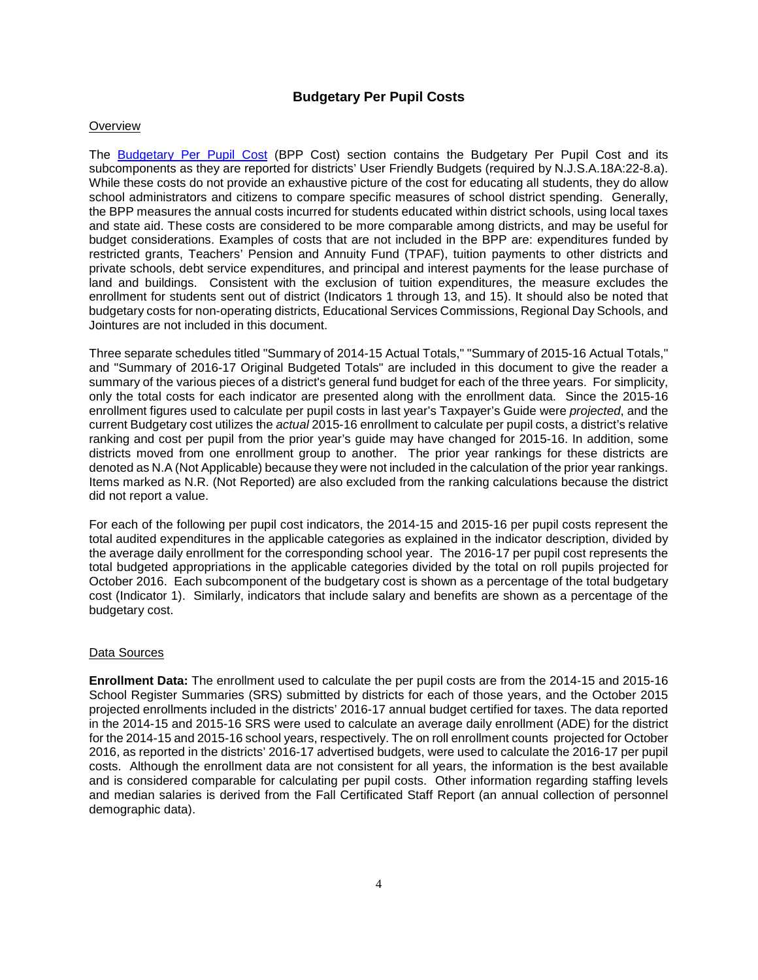# **Budgetary Per Pupil Costs**

### **Overview**

The [Budgetary](http://www.state.nj.us/education/guide/2017/ind01.shtml) Per Pupil Cost (BPP Cost) section contains the Budgetary Per Pupil Cost and its subcomponents as they are reported for districts' User Friendly Budgets (required by N.J.S.A.18A:22-8.a). While these costs do not provide an exhaustive picture of the cost for educating all students, they do allow school administrators and citizens to compare specific measures of school district spending. Generally, the BPP measures the annual costs incurred for students educated within district schools, using local taxes and state aid. These costs are considered to be more comparable among districts, and may be useful for budget considerations. Examples of costs that are not included in the BPP are: expenditures funded by restricted grants, Teachers' Pension and Annuity Fund (TPAF), tuition payments to other districts and private schools, debt service expenditures, and principal and interest payments for the lease purchase of land and buildings. Consistent with the exclusion of tuition expenditures, the measure excludes the enrollment for students sent out of district (Indicators 1 through 13, and 15). It should also be noted that budgetary costs for non-operating districts, Educational Services Commissions, Regional Day Schools, and Jointures are not included in this document.

Three separate schedules titled "Summary of 2014-15 Actual Totals," "Summary of 2015-16 Actual Totals," and "Summary of 2016-17 Original Budgeted Totals" are included in this document to give the reader a summary of the various pieces of a district's general fund budget for each of the three years. For simplicity, only the total costs for each indicator are presented along with the enrollment data. Since the 2015-16 enrollment figures used to calculate per pupil costs in last year's Taxpayer's Guide were *projected*, and the current Budgetary cost utilizes the *actual* 2015-16 enrollment to calculate per pupil costs, a district's relative ranking and cost per pupil from the prior year's guide may have changed for 2015-16. In addition, some districts moved from one enrollment group to another. The prior year rankings for these districts are denoted as N.A (Not Applicable) because they were not included in the calculation of the prior year rankings. Items marked as N.R. (Not Reported) are also excluded from the ranking calculations because the district did not report a value.

For each of the following per pupil cost indicators, the 2014-15 and 2015-16 per pupil costs represent the total audited expenditures in the applicable categories as explained in the indicator description, divided by the average daily enrollment for the corresponding school year. The 2016-17 per pupil cost represents the total budgeted appropriations in the applicable categories divided by the total on roll pupils projected for October 2016. Each subcomponent of the budgetary cost is shown as a percentage of the total budgetary cost (Indicator 1). Similarly, indicators that include salary and benefits are shown as a percentage of the budgetary cost.

## Data Sources

**Enrollment Data:** The enrollment used to calculate the per pupil costs are from the 2014-15 and 2015-16 School Register Summaries (SRS) submitted by districts for each of those years, and the October 2015 projected enrollments included in the districts' 2016-17 annual budget certified for taxes. The data reported in the 2014-15 and 2015-16 SRS were used to calculate an average daily enrollment (ADE) for the district for the 2014-15 and 2015-16 school years, respectively. The on roll enrollment counts projected for October 2016, as reported in the districts' 2016-17 advertised budgets, were used to calculate the 2016-17 per pupil costs. Although the enrollment data are not consistent for all years, the information is the best available and is considered comparable for calculating per pupil costs. Other information regarding staffing levels and median salaries is derived from the Fall Certificated Staff Report (an annual collection of personnel demographic data).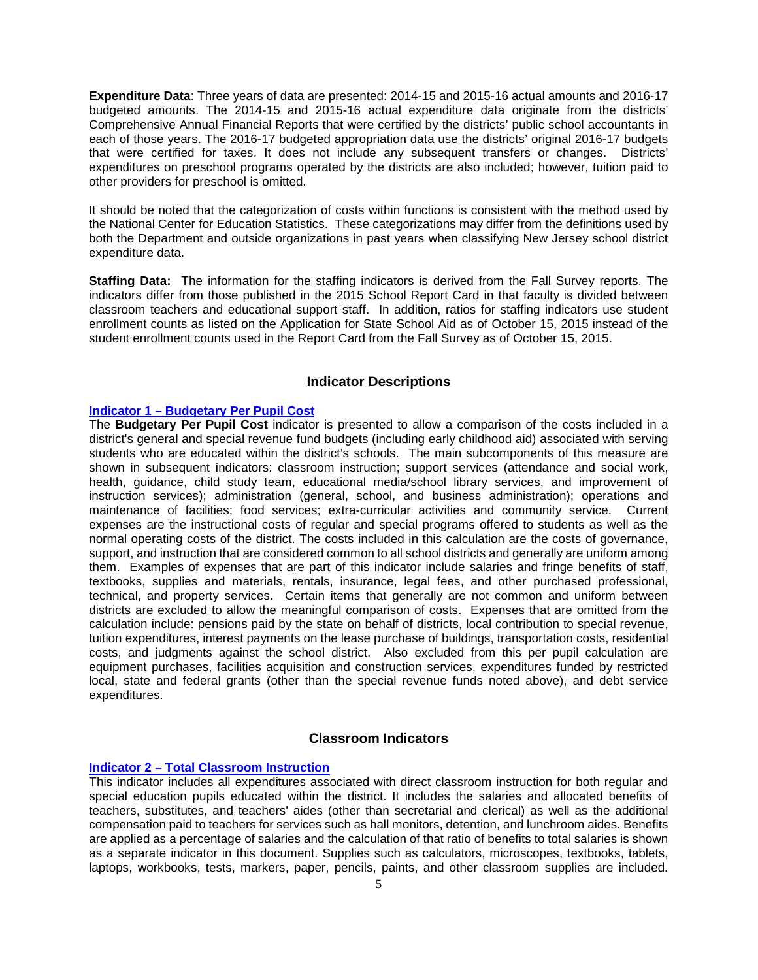**Expenditure Data**: Three years of data are presented: 2014-15 and 2015-16 actual amounts and 2016-17 budgeted amounts. The 2014-15 and 2015-16 actual expenditure data originate from the districts' Comprehensive Annual Financial Reports that were certified by the districts' public school accountants in each of those years. The 2016-17 budgeted appropriation data use the districts' original 2016-17 budgets that were certified for taxes. It does not include any subsequent transfers or changes. Districts' expenditures on preschool programs operated by the districts are also included; however, tuition paid to other providers for preschool is omitted.

It should be noted that the categorization of costs within functions is consistent with the method used by the National Center for Education Statistics. These categorizations may differ from the definitions used by both the Department and outside organizations in past years when classifying New Jersey school district expenditure data.

**Staffing Data:** The information for the staffing indicators is derived from the Fall Survey reports. The indicators differ from those published in the 2015 School Report Card in that faculty is divided between classroom teachers and educational support staff. In addition, ratios for staffing indicators use student enrollment counts as listed on the Application for State School Aid as of October 15, 2015 instead of the student enrollment counts used in the Report Card from the Fall Survey as of October 15, 2015.

# **Indicator Descriptions**

## **Indicator 1 – Budgetary [Per Pupil Cost](http://www.state.nj.us/education/guide/2017/ind01.shtml)**

The **Budgetary Per Pupil Cost** indicator is presented to allow a comparison of the costs included in a district's general and special revenue fund budgets (including early childhood aid) associated with serving students who are educated within the district's schools. The main subcomponents of this measure are shown in subsequent indicators: classroom instruction; support services (attendance and social work, health, guidance, child study team, educational media/school library services, and improvement of instruction services); administration (general, school, and business administration); operations and maintenance of facilities; food services; extra-curricular activities and community service. Current expenses are the instructional costs of regular and special programs offered to students as well as the normal operating costs of the district. The costs included in this calculation are the costs of governance, support, and instruction that are considered common to all school districts and generally are uniform among them. Examples of expenses that are part of this indicator include salaries and fringe benefits of staff, textbooks, supplies and materials, rentals, insurance, legal fees, and other purchased professional, technical, and property services. Certain items that generally are not common and uniform between districts are excluded to allow the meaningful comparison of costs. Expenses that are omitted from the calculation include: pensions paid by the state on behalf of districts, local contribution to special revenue, tuition expenditures, interest payments on the lease purchase of buildings, transportation costs, residential costs, and judgments against the school district. Also excluded from this per pupil calculation are equipment purchases, facilities acquisition and construction services, expenditures funded by restricted local, state and federal grants (other than the special revenue funds noted above), and debt service expenditures.

## **Classroom Indicators**

### **Indicator 2 – [Total Classroom Instruction](http://www.state.nj.us/education/guide/2017/ind02.shtml)**

This indicator includes all expenditures associated with direct classroom instruction for both regular and special education pupils educated within the district. It includes the salaries and allocated benefits of teachers, substitutes, and teachers' aides (other than secretarial and clerical) as well as the additional compensation paid to teachers for services such as hall monitors, detention, and lunchroom aides. Benefits are applied as a percentage of salaries and the calculation of that ratio of benefits to total salaries is shown as a separate indicator in this document. Supplies such as calculators, microscopes, textbooks, tablets, laptops, workbooks, tests, markers, paper, pencils, paints, and other classroom supplies are included.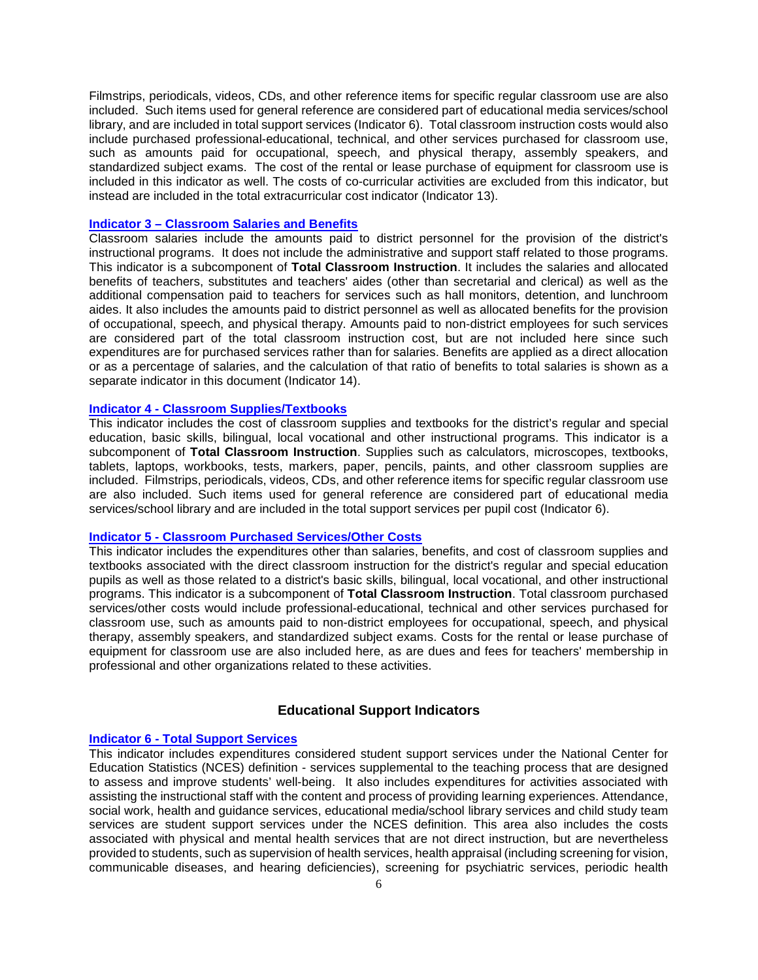Filmstrips, periodicals, videos, CDs, and other reference items for specific regular classroom use are also included. Such items used for general reference are considered part of educational media services/school library, and are included in total support services (Indicator 6). Total classroom instruction costs would also include purchased professional-educational, technical, and other services purchased for classroom use, such as amounts paid for occupational, speech, and physical therapy, assembly speakers, and standardized subject exams. The cost of the rental or lease purchase of equipment for classroom use is included in this indicator as well. The costs of co-curricular activities are excluded from this indicator, but instead are included in the total extracurricular cost indicator (Indicator 13).

## **Indicator 3 – [Classroom Salaries and Benefits](http://www.state.nj.us/education/guide/2017/ind03.shtml)**

Classroom salaries include the amounts paid to district personnel for the provision of the district's instructional programs. It does not include the administrative and support staff related to those programs. This indicator is a subcomponent of **Total Classroom Instruction**. It includes the salaries and allocated benefits of teachers, substitutes and teachers' aides (other than secretarial and clerical) as well as the additional compensation paid to teachers for services such as hall monitors, detention, and lunchroom aides. It also includes the amounts paid to district personnel as well as allocated benefits for the provision of occupational, speech, and physical therapy. Amounts paid to non-district employees for such services are considered part of the total classroom instruction cost, but are not included here since such expenditures are for purchased services rather than for salaries. Benefits are applied as a direct allocation or as a percentage of salaries, and the calculation of that ratio of benefits to total salaries is shown as a separate indicator in this document (Indicator 14).

## **Indicator 4 - [Classroom Supplies/Textbooks](http://www.state.nj.us/education/guide/2017/ind04.shtml)**

This indicator includes the cost of classroom supplies and textbooks for the district's regular and special education, basic skills, bilingual, local vocational and other instructional programs. This indicator is a subcomponent of **Total Classroom Instruction**. Supplies such as calculators, microscopes, textbooks, tablets, laptops, workbooks, tests, markers, paper, pencils, paints, and other classroom supplies are included. Filmstrips, periodicals, videos, CDs, and other reference items for specific regular classroom use are also included. Such items used for general reference are considered part of educational media services/school library and are included in the total support services per pupil cost (Indicator 6).

## **Indicator 5 - [Classroom Purchased Services/Other Costs](http://www.state.nj.us/education/guide/2017/ind05.shtml)**

This indicator includes the expenditures other than salaries, benefits, and cost of classroom supplies and textbooks associated with the direct classroom instruction for the district's regular and special education pupils as well as those related to a district's basic skills, bilingual, local vocational, and other instructional programs. This indicator is a subcomponent of **Total Classroom Instruction**. Total classroom purchased services/other costs would include professional-educational, technical and other services purchased for classroom use, such as amounts paid to non-district employees for occupational, speech, and physical therapy, assembly speakers, and standardized subject exams. Costs for the rental or lease purchase of equipment for classroom use are also included here, as are dues and fees for teachers' membership in professional and other organizations related to these activities.

# **Educational Support Indicators**

## **Indicator 6 - [Total Support Services](http://www.state.nj.us/education/guide/2017/ind06.shtml)**

This indicator includes expenditures considered student support services under the National Center for Education Statistics (NCES) definition - services supplemental to the teaching process that are designed to assess and improve students' well-being. It also includes expenditures for activities associated with assisting the instructional staff with the content and process of providing learning experiences. Attendance, social work, health and guidance services, educational media/school library services and child study team services are student support services under the NCES definition. This area also includes the costs associated with physical and mental health services that are not direct instruction, but are nevertheless provided to students, such as supervision of health services, health appraisal (including screening for vision, communicable diseases, and hearing deficiencies), screening for psychiatric services, periodic health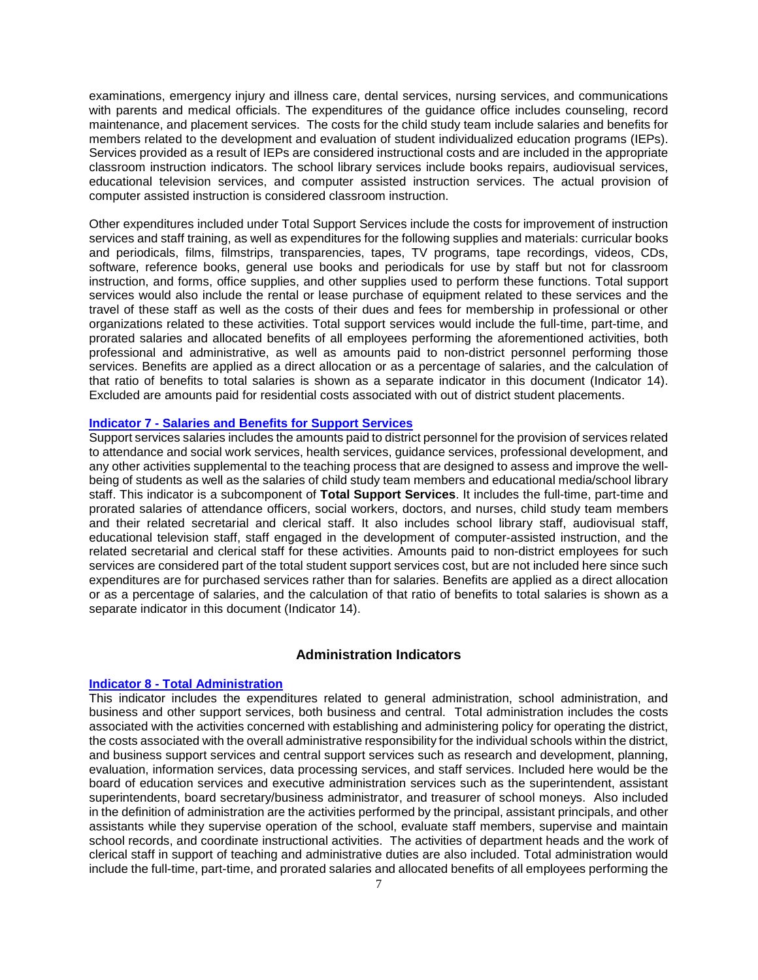examinations, emergency injury and illness care, dental services, nursing services, and communications with parents and medical officials. The expenditures of the guidance office includes counseling, record maintenance, and placement services. The costs for the child study team include salaries and benefits for members related to the development and evaluation of student individualized education programs (IEPs). Services provided as a result of IEPs are considered instructional costs and are included in the appropriate classroom instruction indicators. The school library services include books repairs, audiovisual services, educational television services, and computer assisted instruction services. The actual provision of computer assisted instruction is considered classroom instruction.

Other expenditures included under Total Support Services include the costs for improvement of instruction services and staff training, as well as expenditures for the following supplies and materials: curricular books and periodicals, films, filmstrips, transparencies, tapes, TV programs, tape recordings, videos, CDs, software, reference books, general use books and periodicals for use by staff but not for classroom instruction, and forms, office supplies, and other supplies used to perform these functions. Total support services would also include the rental or lease purchase of equipment related to these services and the travel of these staff as well as the costs of their dues and fees for membership in professional or other organizations related to these activities. Total support services would include the full-time, part-time, and prorated salaries and allocated benefits of all employees performing the aforementioned activities, both professional and administrative, as well as amounts paid to non-district personnel performing those services. Benefits are applied as a direct allocation or as a percentage of salaries, and the calculation of that ratio of benefits to total salaries is shown as a separate indicator in this document (Indicator 14). Excluded are amounts paid for residential costs associated with out of district student placements.

# **Indicator 7 - [Salaries and Benefits for Support Services](http://www.state.nj.us/education/guide/2017/ind07.shtml)**

Support services salaries includes the amounts paid to district personnel for the provision of services related to attendance and social work services, health services, guidance services, professional development, and any other activities supplemental to the teaching process that are designed to assess and improve the wellbeing of students as well as the salaries of child study team members and educational media/school library staff. This indicator is a subcomponent of **Total Support Services**. It includes the full-time, part-time and prorated salaries of attendance officers, social workers, doctors, and nurses, child study team members and their related secretarial and clerical staff. It also includes school library staff, audiovisual staff, educational television staff, staff engaged in the development of computer-assisted instruction, and the related secretarial and clerical staff for these activities. Amounts paid to non-district employees for such services are considered part of the total student support services cost, but are not included here since such expenditures are for purchased services rather than for salaries. Benefits are applied as a direct allocation or as a percentage of salaries, and the calculation of that ratio of benefits to total salaries is shown as a separate indicator in this document (Indicator 14).

## **Administration Indicators**

#### **Indicator 8 - [Total Administration](http://www.state.nj.us/education/guide/2017/ind08.shtml)**

This indicator includes the expenditures related to general administration, school administration, and business and other support services, both business and central. Total administration includes the costs associated with the activities concerned with establishing and administering policy for operating the district, the costs associated with the overall administrative responsibility for the individual schools within the district, and business support services and central support services such as research and development, planning, evaluation, information services, data processing services, and staff services. Included here would be the board of education services and executive administration services such as the superintendent, assistant superintendents, board secretary/business administrator, and treasurer of school moneys. Also included in the definition of administration are the activities performed by the principal, assistant principals, and other assistants while they supervise operation of the school, evaluate staff members, supervise and maintain school records, and coordinate instructional activities. The activities of department heads and the work of clerical staff in support of teaching and administrative duties are also included. Total administration would include the full-time, part-time, and prorated salaries and allocated benefits of all employees performing the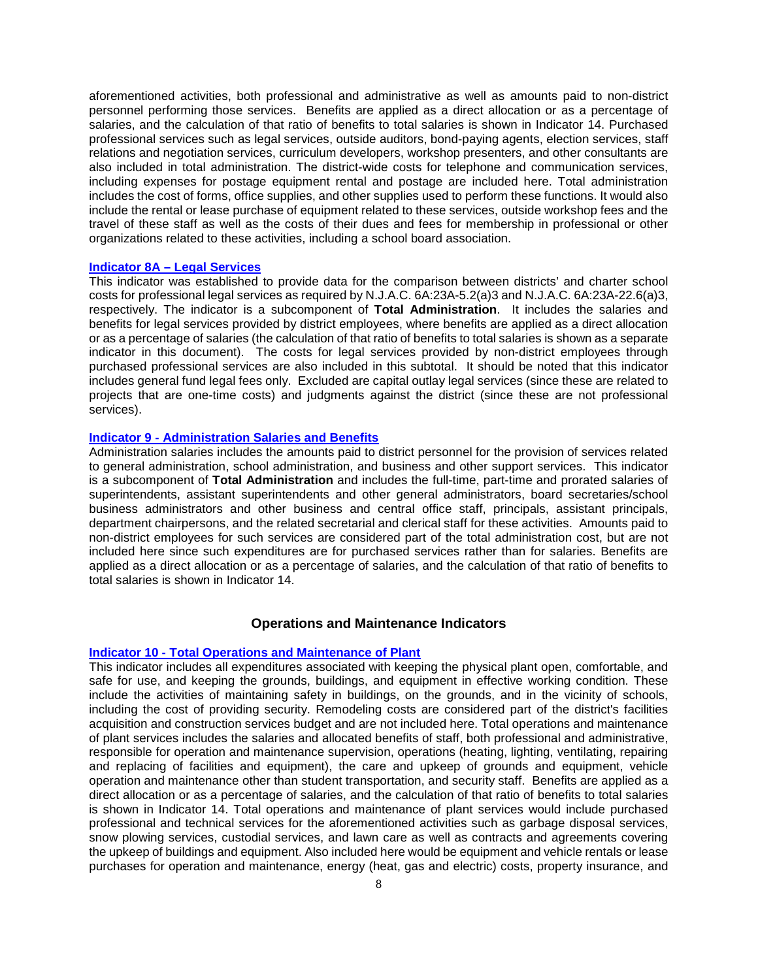aforementioned activities, both professional and administrative as well as amounts paid to non-district personnel performing those services. Benefits are applied as a direct allocation or as a percentage of salaries, and the calculation of that ratio of benefits to total salaries is shown in Indicator 14. Purchased professional services such as legal services, outside auditors, bond-paying agents, election services, staff relations and negotiation services, curriculum developers, workshop presenters, and other consultants are also included in total administration. The district-wide costs for telephone and communication services, including expenses for postage equipment rental and postage are included here. Total administration includes the cost of forms, office supplies, and other supplies used to perform these functions. It would also include the rental or lease purchase of equipment related to these services, outside workshop fees and the travel of these staff as well as the costs of their dues and fees for membership in professional or other organizations related to these activities, including a school board association.

## **Indicator 8A – [Legal Services](http://www.state.nj.us/education/guide/2017/ind08a.shtml)**

This indicator was established to provide data for the comparison between districts' and charter school costs for professional legal services as required by N.J.A.C. 6A:23A-5.2(a)3 and N.J.A.C. 6A:23A-22.6(a)3, respectively. The indicator is a subcomponent of **Total Administration**. It includes the salaries and benefits for legal services provided by district employees, where benefits are applied as a direct allocation or as a percentage of salaries (the calculation of that ratio of benefits to total salaries is shown as a separate indicator in this document). The costs for legal services provided by non-district employees through purchased professional services are also included in this subtotal. It should be noted that this indicator includes general fund legal fees only. Excluded are capital outlay legal services (since these are related to projects that are one-time costs) and judgments against the district (since these are not professional services).

#### **Indicator 9 - [Administration Salaries and Benefits](http://www.state.nj.us/education/guide/2017/ind09.shtml)**

Administration salaries includes the amounts paid to district personnel for the provision of services related to general administration, school administration, and business and other support services. This indicator is a subcomponent of **Total Administration** and includes the full-time, part-time and prorated salaries of superintendents, assistant superintendents and other general administrators, board secretaries/school business administrators and other business and central office staff, principals, assistant principals, department chairpersons, and the related secretarial and clerical staff for these activities. Amounts paid to non-district employees for such services are considered part of the total administration cost, but are not included here since such expenditures are for purchased services rather than for salaries. Benefits are applied as a direct allocation or as a percentage of salaries, and the calculation of that ratio of benefits to total salaries is shown in Indicator 14.

#### **Operations and Maintenance Indicators**

#### **Indicator 10 - [Total Operations and Maintenance of Plant](http://www.state.nj.us/education/guide/2017/ind10.shtml)**

This indicator includes all expenditures associated with keeping the physical plant open, comfortable, and safe for use, and keeping the grounds, buildings, and equipment in effective working condition. These include the activities of maintaining safety in buildings, on the grounds, and in the vicinity of schools, including the cost of providing security. Remodeling costs are considered part of the district's facilities acquisition and construction services budget and are not included here. Total operations and maintenance of plant services includes the salaries and allocated benefits of staff, both professional and administrative, responsible for operation and maintenance supervision, operations (heating, lighting, ventilating, repairing and replacing of facilities and equipment), the care and upkeep of grounds and equipment, vehicle operation and maintenance other than student transportation, and security staff. Benefits are applied as a direct allocation or as a percentage of salaries, and the calculation of that ratio of benefits to total salaries is shown in Indicator 14. Total operations and maintenance of plant services would include purchased professional and technical services for the aforementioned activities such as garbage disposal services, snow plowing services, custodial services, and lawn care as well as contracts and agreements covering the upkeep of buildings and equipment. Also included here would be equipment and vehicle rentals or lease purchases for operation and maintenance, energy (heat, gas and electric) costs, property insurance, and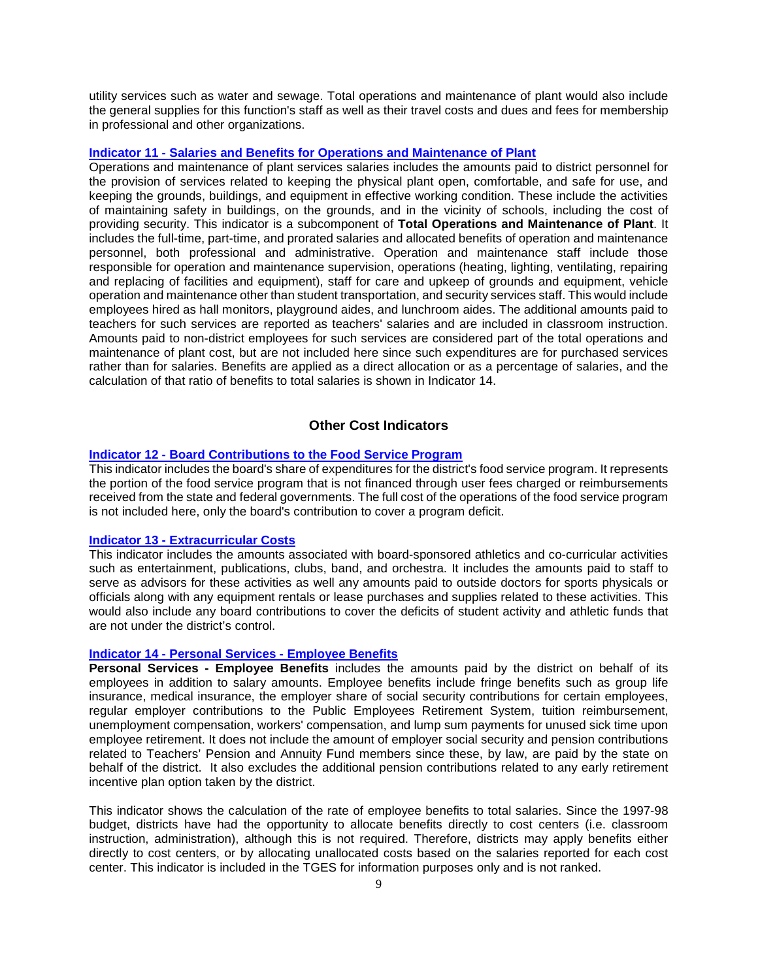utility services such as water and sewage. Total operations and maintenance of plant would also include the general supplies for this function's staff as well as their travel costs and dues and fees for membership in professional and other organizations.

### **Indicator 11 - [Salaries and Benefits for Operations and Maintenance of Plant](http://www.state.nj.us/education/guide/2017/ind11.shtml)**

Operations and maintenance of plant services salaries includes the amounts paid to district personnel for the provision of services related to keeping the physical plant open, comfortable, and safe for use, and keeping the grounds, buildings, and equipment in effective working condition. These include the activities of maintaining safety in buildings, on the grounds, and in the vicinity of schools, including the cost of providing security. This indicator is a subcomponent of **Total Operations and Maintenance of Plant**. It includes the full-time, part-time, and prorated salaries and allocated benefits of operation and maintenance personnel, both professional and administrative. Operation and maintenance staff include those responsible for operation and maintenance supervision, operations (heating, lighting, ventilating, repairing and replacing of facilities and equipment), staff for care and upkeep of grounds and equipment, vehicle operation and maintenance other than student transportation, and security services staff. This would include employees hired as hall monitors, playground aides, and lunchroom aides. The additional amounts paid to teachers for such services are reported as teachers' salaries and are included in classroom instruction. Amounts paid to non-district employees for such services are considered part of the total operations and maintenance of plant cost, but are not included here since such expenditures are for purchased services rather than for salaries. Benefits are applied as a direct allocation or as a percentage of salaries, and the calculation of that ratio of benefits to total salaries is shown in Indicator 14.

## **Other Cost Indicators**

# **Indicator 12 - [Board Contributions to the Food Service Program](http://www.state.nj.us/education/guide/2017/ind12.shtml)**

This indicator includes the board's share of expenditures for the district's food service program. It represents the portion of the food service program that is not financed through user fees charged or reimbursements received from the state and federal governments. The full cost of the operations of the food service program is not included here, only the board's contribution to cover a program deficit.

#### **Indicator 13 - [Extracurricular Costs](http://www.state.nj.us/education/guide/2017/ind13.shtml)**

This indicator includes the amounts associated with board-sponsored athletics and co-curricular activities such as entertainment, publications, clubs, band, and orchestra. It includes the amounts paid to staff to serve as advisors for these activities as well any amounts paid to outside doctors for sports physicals or officials along with any equipment rentals or lease purchases and supplies related to these activities. This would also include any board contributions to cover the deficits of student activity and athletic funds that are not under the district's control.

#### **Indicator 14 - [Personal Services -](http://www.state.nj.us/education/guide/2017/ind14.shtml) Employee Benefits**

**Personal Services - Employee Benefits** includes the amounts paid by the district on behalf of its employees in addition to salary amounts. Employee benefits include fringe benefits such as group life insurance, medical insurance, the employer share of social security contributions for certain employees, regular employer contributions to the Public Employees Retirement System, tuition reimbursement, unemployment compensation, workers' compensation, and lump sum payments for unused sick time upon employee retirement. It does not include the amount of employer social security and pension contributions related to Teachers' Pension and Annuity Fund members since these, by law, are paid by the state on behalf of the district. It also excludes the additional pension contributions related to any early retirement incentive plan option taken by the district.

This indicator shows the calculation of the rate of employee benefits to total salaries. Since the 1997-98 budget, districts have had the opportunity to allocate benefits directly to cost centers (i.e. classroom instruction, administration), although this is not required. Therefore, districts may apply benefits either directly to cost centers, or by allocating unallocated costs based on the salaries reported for each cost center. This indicator is included in the TGES for information purposes only and is not ranked.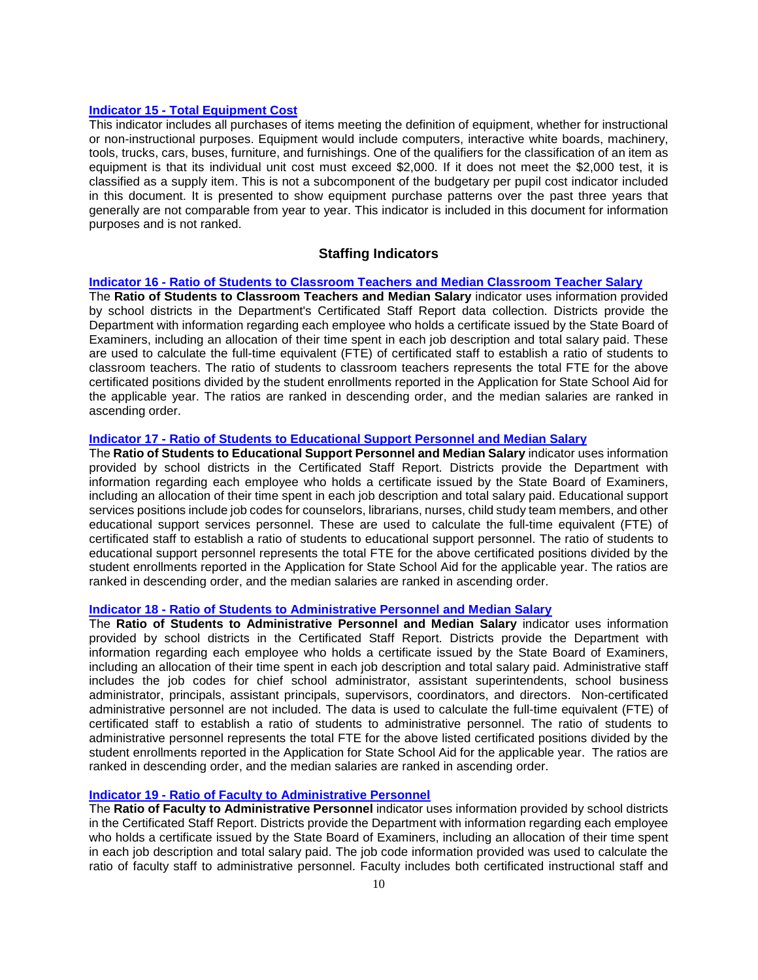#### **Indicator 15 - [Total Equipment Cost](http://www.state.nj.us/education/guide/2017/ind15.shtml)**

This indicator includes all purchases of items meeting the definition of equipment, whether for instructional or non-instructional purposes. Equipment would include computers, interactive white boards, machinery, tools, trucks, cars, buses, furniture, and furnishings. One of the qualifiers for the classification of an item as equipment is that its individual unit cost must exceed \$2,000. If it does not meet the \$2,000 test, it is classified as a supply item. This is not a subcomponent of the budgetary per pupil cost indicator included in this document. It is presented to show equipment purchase patterns over the past three years that generally are not comparable from year to year. This indicator is included in this document for information purposes and is not ranked.

## **Staffing Indicators**

## **Indicator 16 - [Ratio of Students to Classroom Teachers and Median Classroom Teacher Salary](http://www.state.nj.us/education/guide/2017/ind16.shtml)**

The **Ratio of Students to Classroom Teachers and Median Salary** indicator uses information provided by school districts in the Department's Certificated Staff Report data collection. Districts provide the Department with information regarding each employee who holds a certificate issued by the State Board of Examiners, including an allocation of their time spent in each job description and total salary paid. These are used to calculate the full-time equivalent (FTE) of certificated staff to establish a ratio of students to classroom teachers. The ratio of students to classroom teachers represents the total FTE for the above certificated positions divided by the student enrollments reported in the Application for State School Aid for the applicable year. The ratios are ranked in descending order, and the median salaries are ranked in ascending order.

## **Indicator 17 - [Ratio of Students to Educational Support Personnel and Median Salary](http://www.state.nj.us/education/guide/2017/ind17.shtml)**

The **Ratio of Students to Educational Support Personnel and Median Salary** indicator uses information provided by school districts in the Certificated Staff Report. Districts provide the Department with information regarding each employee who holds a certificate issued by the State Board of Examiners, including an allocation of their time spent in each job description and total salary paid. Educational support services positions include job codes for counselors, librarians, nurses, child study team members, and other educational support services personnel. These are used to calculate the full-time equivalent (FTE) of certificated staff to establish a ratio of students to educational support personnel. The ratio of students to educational support personnel represents the total FTE for the above certificated positions divided by the student enrollments reported in the Application for State School Aid for the applicable year. The ratios are ranked in descending order, and the median salaries are ranked in ascending order.

#### **Indicator 18 - [Ratio of Students to Administrative Personnel and Median Salary](http://www.state.nj.us/education/guide/2017/ind18.shtml)**

The **Ratio of Students to Administrative Personnel and Median Salary** indicator uses information provided by school districts in the Certificated Staff Report. Districts provide the Department with information regarding each employee who holds a certificate issued by the State Board of Examiners, including an allocation of their time spent in each job description and total salary paid. Administrative staff includes the job codes for chief school administrator, assistant superintendents, school business administrator, principals, assistant principals, supervisors, coordinators, and directors. Non-certificated administrative personnel are not included. The data is used to calculate the full-time equivalent (FTE) of certificated staff to establish a ratio of students to administrative personnel. The ratio of students to administrative personnel represents the total FTE for the above listed certificated positions divided by the student enrollments reported in the Application for State School Aid for the applicable year. The ratios are ranked in descending order, and the median salaries are ranked in ascending order.

## **Indicator 19 - [Ratio of Faculty to Administrative Personnel](http://www.state.nj.us/education/guide/2017/ind19.shtml)**

The **Ratio of Faculty to Administrative Personnel** indicator uses information provided by school districts in the Certificated Staff Report. Districts provide the Department with information regarding each employee who holds a certificate issued by the State Board of Examiners, including an allocation of their time spent in each job description and total salary paid. The job code information provided was used to calculate the ratio of faculty staff to administrative personnel. Faculty includes both certificated instructional staff and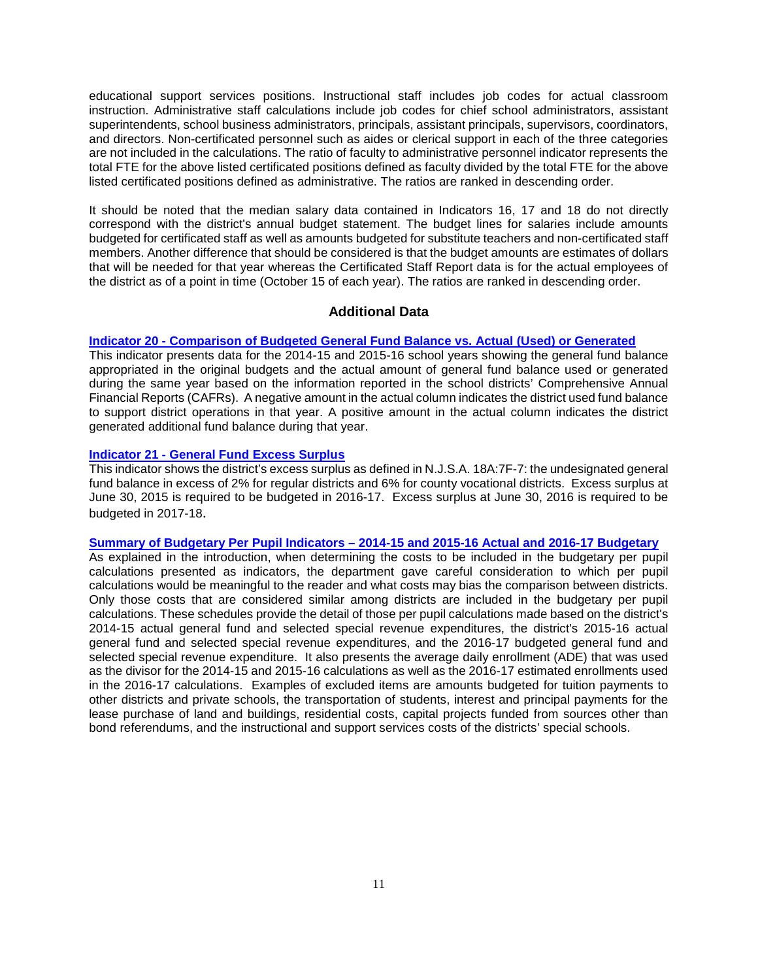educational support services positions. Instructional staff includes job codes for actual classroom instruction. Administrative staff calculations include job codes for chief school administrators, assistant superintendents, school business administrators, principals, assistant principals, supervisors, coordinators, and directors. Non-certificated personnel such as aides or clerical support in each of the three categories are not included in the calculations. The ratio of faculty to administrative personnel indicator represents the total FTE for the above listed certificated positions defined as faculty divided by the total FTE for the above listed certificated positions defined as administrative. The ratios are ranked in descending order.

It should be noted that the median salary data contained in Indicators 16, 17 and 18 do not directly correspond with the district's annual budget statement. The budget lines for salaries include amounts budgeted for certificated staff as well as amounts budgeted for substitute teachers and non-certificated staff members. Another difference that should be considered is that the budget amounts are estimates of dollars that will be needed for that year whereas the Certificated Staff Report data is for the actual employees of the district as of a point in time (October 15 of each year). The ratios are ranked in descending order.

## **Additional Data**

## **Indicator 20 - [Comparison of Budgeted General Fund Balance vs. Actual \(Used\) or Generated](http://www.state.nj.us/education/guide/2017/ind20.shtml)**

This indicator presents data for the 2014-15 and 2015-16 school years showing the general fund balance appropriated in the original budgets and the actual amount of general fund balance used or generated during the same year based on the information reported in the school districts' Comprehensive Annual Financial Reports (CAFRs). A negative amount in the actual column indicates the district used fund balance to support district operations in that year. A positive amount in the actual column indicates the district generated additional fund balance during that year.

# **Indicator 21 - [General Fund Excess](http://www.state.nj.us/education/guide/2017/ind21.shtml) Surplus**

This indicator shows the district's excess surplus as defined in N.J.S.A. 18A:7F-7: the undesignated general fund balance in excess of 2% for regular districts and 6% for county vocational districts. Excess surplus at June 30, 2015 is required to be budgeted in 2016-17. Excess surplus at June 30, 2016 is required to be budgeted in 2017-18.

# **[Summary of Budgetary Per Pupil Indicators –](http://www.state.nj.us/education/guide/2017/sum.shtml) 2014-15 and 2015-16 Actual and 2016-17 Budgetary**

As explained in the introduction, when determining the costs to be included in the budgetary per pupil calculations presented as indicators, the department gave careful consideration to which per pupil calculations would be meaningful to the reader and what costs may bias the comparison between districts. Only those costs that are considered similar among districts are included in the budgetary per pupil calculations. These schedules provide the detail of those per pupil calculations made based on the district's 2014-15 actual general fund and selected special revenue expenditures, the district's 2015-16 actual general fund and selected special revenue expenditures, and the 2016-17 budgeted general fund and selected special revenue expenditure. It also presents the average daily enrollment (ADE) that was used as the divisor for the 2014-15 and 2015-16 calculations as well as the 2016-17 estimated enrollments used in the 2016-17 calculations. Examples of excluded items are amounts budgeted for tuition payments to other districts and private schools, the transportation of students, interest and principal payments for the lease purchase of land and buildings, residential costs, capital projects funded from sources other than bond referendums, and the instructional and support services costs of the districts' special schools.